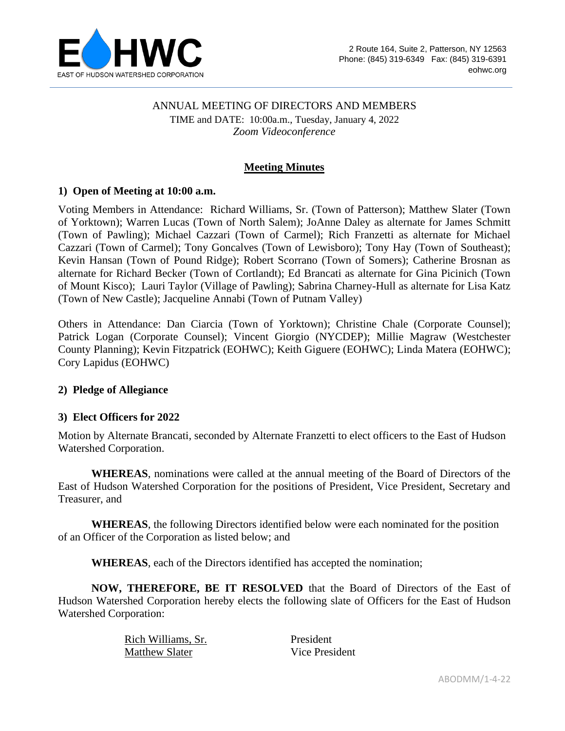

### ANNUAL MEETING OF DIRECTORS AND MEMBERS

TIME and DATE: 10:00a.m., Tuesday, January 4, 2022 *Zoom Videoconference*

## **Meeting Minutes**

### **1) Open of Meeting at 10:00 a.m.**

Voting Members in Attendance: Richard Williams, Sr. (Town of Patterson); Matthew Slater (Town of Yorktown); Warren Lucas (Town of North Salem); JoAnne Daley as alternate for James Schmitt (Town of Pawling); Michael Cazzari (Town of Carmel); Rich Franzetti as alternate for Michael Cazzari (Town of Carmel); Tony Goncalves (Town of Lewisboro); Tony Hay (Town of Southeast); Kevin Hansan (Town of Pound Ridge); Robert Scorrano (Town of Somers); Catherine Brosnan as alternate for Richard Becker (Town of Cortlandt); Ed Brancati as alternate for Gina Picinich (Town of Mount Kisco); Lauri Taylor (Village of Pawling); Sabrina Charney-Hull as alternate for Lisa Katz (Town of New Castle); Jacqueline Annabi (Town of Putnam Valley)

Others in Attendance: Dan Ciarcia (Town of Yorktown); Christine Chale (Corporate Counsel); Patrick Logan (Corporate Counsel); Vincent Giorgio (NYCDEP); Millie Magraw (Westchester County Planning); Kevin Fitzpatrick (EOHWC); Keith Giguere (EOHWC); Linda Matera (EOHWC); Cory Lapidus (EOHWC)

#### **2) Pledge of Allegiance**

#### **3) Elect Officers for 2022**

Motion by Alternate Brancati, seconded by Alternate Franzetti to elect officers to the East of Hudson Watershed Corporation.

**WHEREAS**, nominations were called at the annual meeting of the Board of Directors of the East of Hudson Watershed Corporation for the positions of President, Vice President, Secretary and Treasurer, and

**WHEREAS**, the following Directors identified below were each nominated for the position of an Officer of the Corporation as listed below; and

**WHEREAS**, each of the Directors identified has accepted the nomination;

**NOW, THEREFORE, BE IT RESOLVED** that the Board of Directors of the East of Hudson Watershed Corporation hereby elects the following slate of Officers for the East of Hudson Watershed Corporation:

> Rich Williams, Sr. President Matthew Slater Vice President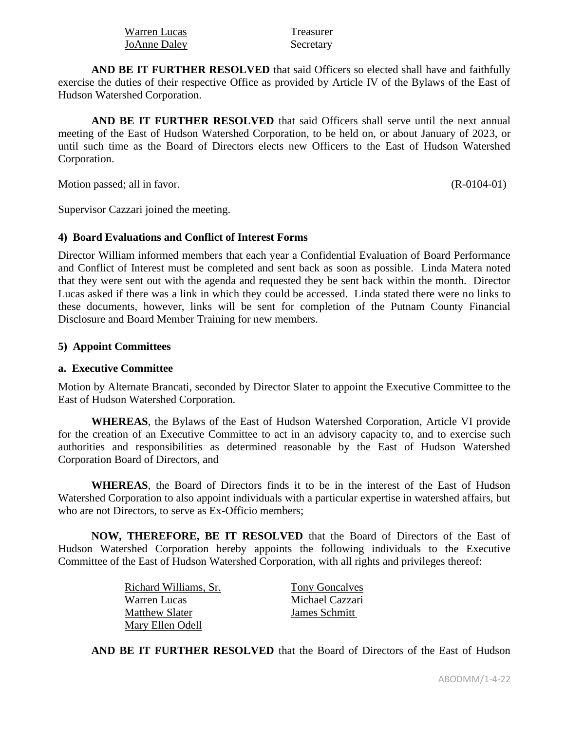| Warren Lucas | Treasurer |
|--------------|-----------|
| JoAnne Daley | Secretary |

**AND BE IT FURTHER RESOLVED** that said Officers so elected shall have and faithfully exercise the duties of their respective Office as provided by Article IV of the Bylaws of the East of Hudson Watershed Corporation.

**AND BE IT FURTHER RESOLVED** that said Officers shall serve until the next annual meeting of the East of Hudson Watershed Corporation, to be held on, or about January of 2023, or until such time as the Board of Directors elects new Officers to the East of Hudson Watershed Corporation.

Motion passed; all in favor. (R-0104-01)

Supervisor Cazzari joined the meeting.

### **4) Board Evaluations and Conflict of Interest Forms**

Director William informed members that each year a Confidential Evaluation of Board Performance and Conflict of Interest must be completed and sent back as soon as possible. Linda Matera noted that they were sent out with the agenda and requested they be sent back within the month. Director Lucas asked if there was a link in which they could be accessed. Linda stated there were no links to these documents, however, links will be sent for completion of the Putnam County Financial Disclosure and Board Member Training for new members.

### **5) Appoint Committees**

### **a. Executive Committee**

Motion by Alternate Brancati, seconded by Director Slater to appoint the Executive Committee to the East of Hudson Watershed Corporation.

**WHEREAS**, the Bylaws of the East of Hudson Watershed Corporation, Article VI provide for the creation of an Executive Committee to act in an advisory capacity to, and to exercise such authorities and responsibilities as determined reasonable by the East of Hudson Watershed Corporation Board of Directors, and

**WHEREAS**, the Board of Directors finds it to be in the interest of the East of Hudson Watershed Corporation to also appoint individuals with a particular expertise in watershed affairs, but who are not Directors, to serve as Ex-Officio members;

**NOW, THEREFORE, BE IT RESOLVED** that the Board of Directors of the East of Hudson Watershed Corporation hereby appoints the following individuals to the Executive Committee of the East of Hudson Watershed Corporation, with all rights and privileges thereof:

> Richard Williams, Sr. Tony Goncalves Warren Lucas Michael Cazzari Matthew Slater James Schmitt Mary Ellen Odell

**AND BE IT FURTHER RESOLVED** that the Board of Directors of the East of Hudson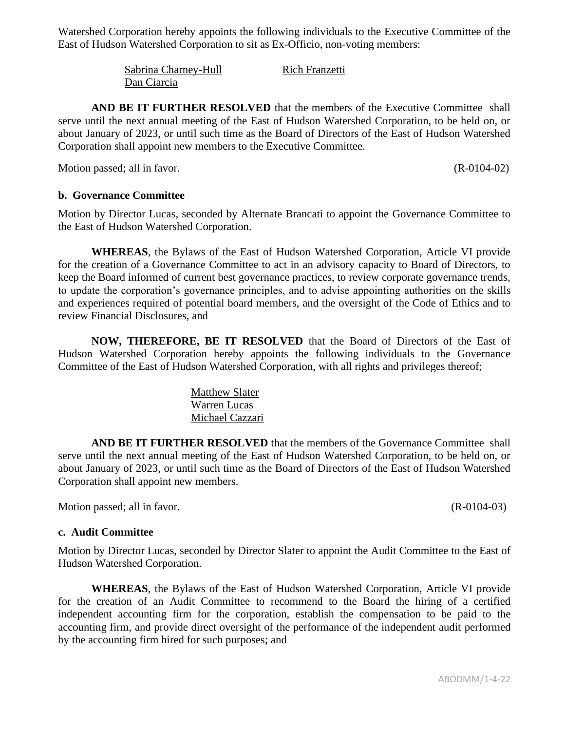Watershed Corporation hereby appoints the following individuals to the Executive Committee of the East of Hudson Watershed Corporation to sit as Ex-Officio, non-voting members:

> Sabrina Charney-Hull Rich Franzetti Dan Ciarcia

**AND BE IT FURTHER RESOLVED** that the members of the Executive Committee shall serve until the next annual meeting of the East of Hudson Watershed Corporation, to be held on, or about January of 2023, or until such time as the Board of Directors of the East of Hudson Watershed Corporation shall appoint new members to the Executive Committee.

Motion passed; all in favor. (R-0104-02)

## **b. Governance Committee**

Motion by Director Lucas, seconded by Alternate Brancati to appoint the Governance Committee to the East of Hudson Watershed Corporation.

**WHEREAS**, the Bylaws of the East of Hudson Watershed Corporation, Article VI provide for the creation of a Governance Committee to act in an advisory capacity to Board of Directors, to keep the Board informed of current best governance practices, to review corporate governance trends, to update the corporation's governance principles, and to advise appointing authorities on the skills and experiences required of potential board members, and the oversight of the Code of Ethics and to review Financial Disclosures, and

**NOW, THEREFORE, BE IT RESOLVED** that the Board of Directors of the East of Hudson Watershed Corporation hereby appoints the following individuals to the Governance Committee of the East of Hudson Watershed Corporation, with all rights and privileges thereof;

> Matthew Slater Warren Lucas Michael Cazzari

**AND BE IT FURTHER RESOLVED** that the members of the Governance Committee shall serve until the next annual meeting of the East of Hudson Watershed Corporation, to be held on, or about January of 2023, or until such time as the Board of Directors of the East of Hudson Watershed Corporation shall appoint new members.

Motion passed; all in favor. (R-0104-03)

### **c. Audit Committee**

Motion by Director Lucas, seconded by Director Slater to appoint the Audit Committee to the East of Hudson Watershed Corporation.

**WHEREAS**, the Bylaws of the East of Hudson Watershed Corporation, Article VI provide for the creation of an Audit Committee to recommend to the Board the hiring of a certified independent accounting firm for the corporation, establish the compensation to be paid to the accounting firm, and provide direct oversight of the performance of the independent audit performed by the accounting firm hired for such purposes; and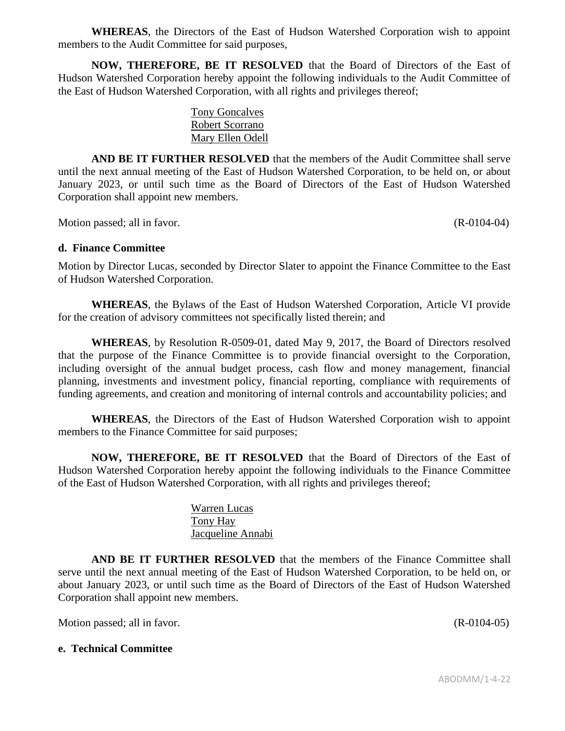**WHEREAS**, the Directors of the East of Hudson Watershed Corporation wish to appoint members to the Audit Committee for said purposes,

**NOW, THEREFORE, BE IT RESOLVED** that the Board of Directors of the East of Hudson Watershed Corporation hereby appoint the following individuals to the Audit Committee of the East of Hudson Watershed Corporation, with all rights and privileges thereof;

> Tony Goncalves Robert Scorrano Mary Ellen Odell

**AND BE IT FURTHER RESOLVED** that the members of the Audit Committee shall serve until the next annual meeting of the East of Hudson Watershed Corporation, to be held on, or about January 2023, or until such time as the Board of Directors of the East of Hudson Watershed Corporation shall appoint new members.

Motion passed; all in favor. (R-0104-04)

### **d. Finance Committee**

Motion by Director Lucas, seconded by Director Slater to appoint the Finance Committee to the East of Hudson Watershed Corporation.

**WHEREAS**, the Bylaws of the East of Hudson Watershed Corporation, Article VI provide for the creation of advisory committees not specifically listed therein; and

**WHEREAS**, by Resolution R-0509-01, dated May 9, 2017, the Board of Directors resolved that the purpose of the Finance Committee is to provide financial oversight to the Corporation, including oversight of the annual budget process, cash flow and money management, financial planning, investments and investment policy, financial reporting, compliance with requirements of funding agreements, and creation and monitoring of internal controls and accountability policies; and

**WHEREAS**, the Directors of the East of Hudson Watershed Corporation wish to appoint members to the Finance Committee for said purposes;

**NOW, THEREFORE, BE IT RESOLVED** that the Board of Directors of the East of Hudson Watershed Corporation hereby appoint the following individuals to the Finance Committee of the East of Hudson Watershed Corporation, with all rights and privileges thereof;

> Warren Lucas Tony Hay Jacqueline Annabi

**AND BE IT FURTHER RESOLVED** that the members of the Finance Committee shall serve until the next annual meeting of the East of Hudson Watershed Corporation, to be held on, or about January 2023, or until such time as the Board of Directors of the East of Hudson Watershed Corporation shall appoint new members.

Motion passed; all in favor. (R-0104-05)

#### **e. Technical Committee**

ABODMM/1-4-22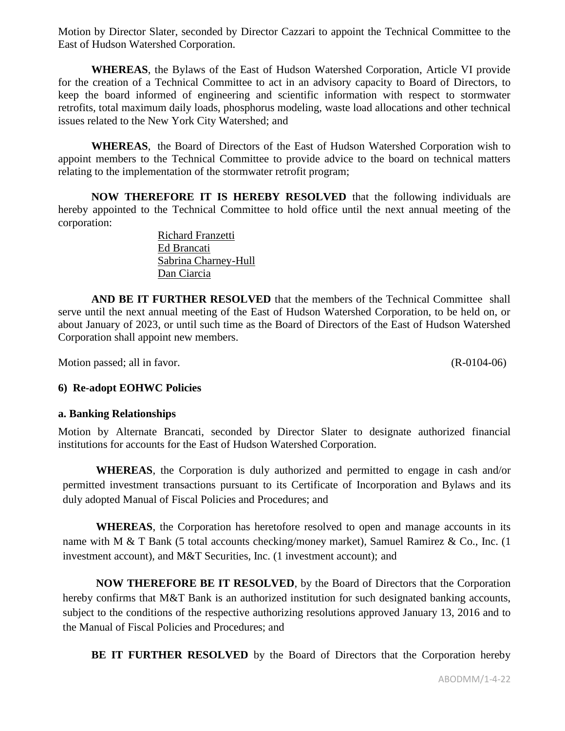Motion by Director Slater, seconded by Director Cazzari to appoint the Technical Committee to the East of Hudson Watershed Corporation.

**WHEREAS**, the Bylaws of the East of Hudson Watershed Corporation, Article VI provide for the creation of a Technical Committee to act in an advisory capacity to Board of Directors, to keep the board informed of engineering and scientific information with respect to stormwater retrofits, total maximum daily loads, phosphorus modeling, waste load allocations and other technical issues related to the New York City Watershed; and

**WHEREAS**, the Board of Directors of the East of Hudson Watershed Corporation wish to appoint members to the Technical Committee to provide advice to the board on technical matters relating to the implementation of the stormwater retrofit program;

**NOW THEREFORE IT IS HEREBY RESOLVED** that the following individuals are hereby appointed to the Technical Committee to hold office until the next annual meeting of the corporation:

> Richard Franzetti Ed Brancati Sabrina Charney-Hull Dan Ciarcia

**AND BE IT FURTHER RESOLVED** that the members of the Technical Committee shall serve until the next annual meeting of the East of Hudson Watershed Corporation, to be held on, or about January of 2023, or until such time as the Board of Directors of the East of Hudson Watershed Corporation shall appoint new members.

Motion passed; all in favor. (R-0104-06)

# **6) Re-adopt EOHWC Policies**

### **a. Banking Relationships**

Motion by Alternate Brancati, seconded by Director Slater to designate authorized financial institutions for accounts for the East of Hudson Watershed Corporation.

**WHEREAS**, the Corporation is duly authorized and permitted to engage in cash and/or permitted investment transactions pursuant to its Certificate of Incorporation and Bylaws and its duly adopted Manual of Fiscal Policies and Procedures; and

**WHEREAS**, the Corporation has heretofore resolved to open and manage accounts in its name with M & T Bank (5 total accounts checking/money market), Samuel Ramirez & Co., Inc. (1) investment account), and M&T Securities, Inc. (1 investment account); and

**NOW THEREFORE BE IT RESOLVED**, by the Board of Directors that the Corporation hereby confirms that M&T Bank is an authorized institution for such designated banking accounts, subject to the conditions of the respective authorizing resolutions approved January 13, 2016 and to the Manual of Fiscal Policies and Procedures; and

**BE IT FURTHER RESOLVED** by the Board of Directors that the Corporation hereby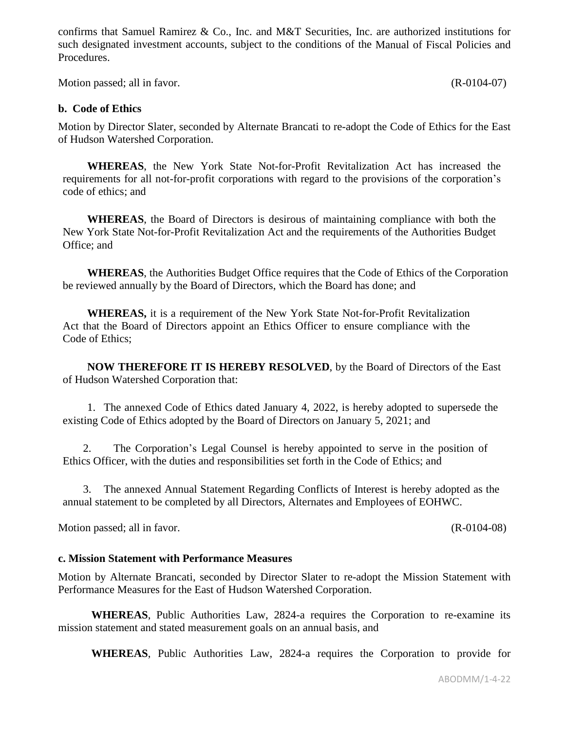confirms that Samuel Ramirez & Co., Inc. and M&T Securities, Inc. are authorized institutions for such designated investment accounts, subject to the conditions of the Manual of Fiscal Policies and Procedures.

Motion passed; all in favor. (R-0104-07)

### **b. Code of Ethics**

Motion by Director Slater, seconded by Alternate Brancati to re-adopt the Code of Ethics for the East of Hudson Watershed Corporation.

**WHEREAS**, the New York State Not-for-Profit Revitalization Act has increased the requirements for all not-for-profit corporations with regard to the provisions of the corporation's code of ethics; and

**WHEREAS**, the Board of Directors is desirous of maintaining compliance with both the New York State Not-for-Profit Revitalization Act and the requirements of the Authorities Budget Office; and

**WHEREAS**, the Authorities Budget Office requires that the Code of Ethics of the Corporation be reviewed annually by the Board of Directors, which the Board has done; and

**WHEREAS,** it is a requirement of the New York State Not-for-Profit Revitalization Act that the Board of Directors appoint an Ethics Officer to ensure compliance with the Code of Ethics;

**NOW THEREFORE IT IS HEREBY RESOLVED**, by the Board of Directors of the East of Hudson Watershed Corporation that:

1. The annexed Code of Ethics dated January 4, 2022, is hereby adopted to supersede the existing Code of Ethics adopted by the Board of Directors on January 5, 2021; and

2. The Corporation's Legal Counsel is hereby appointed to serve in the position of Ethics Officer, with the duties and responsibilities set forth in the Code of Ethics; and

3. The annexed Annual Statement Regarding Conflicts of Interest is hereby adopted as the annual statement to be completed by all Directors, Alternates and Employees of EOHWC.

Motion passed; all in favor. (R-0104-08)

#### **c. Mission Statement with Performance Measures**

Motion by Alternate Brancati, seconded by Director Slater to re-adopt the Mission Statement with Performance Measures for the East of Hudson Watershed Corporation.

**WHEREAS**, Public Authorities Law, 2824-a requires the Corporation to re-examine its mission statement and stated measurement goals on an annual basis, and

**WHEREAS**, Public Authorities Law, 2824-a requires the Corporation to provide for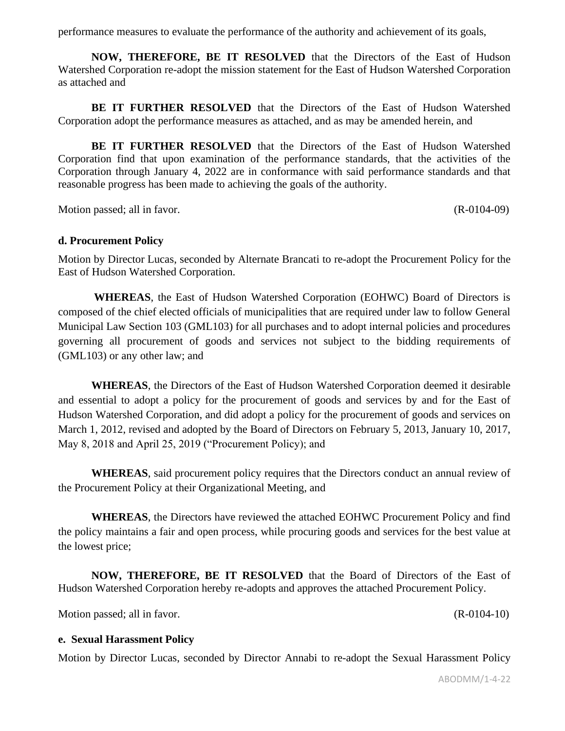performance measures to evaluate the performance of the authority and achievement of its goals,

**NOW, THEREFORE, BE IT RESOLVED** that the Directors of the East of Hudson Watershed Corporation re-adopt the mission statement for the East of Hudson Watershed Corporation as attached and

**BE IT FURTHER RESOLVED** that the Directors of the East of Hudson Watershed Corporation adopt the performance measures as attached, and as may be amended herein, and

**BE IT FURTHER RESOLVED** that the Directors of the East of Hudson Watershed Corporation find that upon examination of the performance standards, that the activities of the Corporation through January 4, 2022 are in conformance with said performance standards and that reasonable progress has been made to achieving the goals of the authority.

Motion passed; all in favor. (R-0104-09)

## **d. Procurement Policy**

Motion by Director Lucas, seconded by Alternate Brancati to re-adopt the Procurement Policy for the East of Hudson Watershed Corporation.

**WHEREAS**, the East of Hudson Watershed Corporation (EOHWC) Board of Directors is composed of the chief elected officials of municipalities that are required under law to follow General Municipal Law Section 103 (GML103) for all purchases and to adopt internal policies and procedures governing all procurement of goods and services not subject to the bidding requirements of (GML103) or any other law; and

**WHEREAS**, the Directors of the East of Hudson Watershed Corporation deemed it desirable and essential to adopt a policy for the procurement of goods and services by and for the East of Hudson Watershed Corporation, and did adopt a policy for the procurement of goods and services on March 1, 2012, revised and adopted by the Board of Directors on February 5, 2013, January 10, 2017, May 8, 2018 and April 25, 2019 ("Procurement Policy); and

**WHEREAS**, said procurement policy requires that the Directors conduct an annual review of the Procurement Policy at their Organizational Meeting, and

**WHEREAS**, the Directors have reviewed the attached EOHWC Procurement Policy and find the policy maintains a fair and open process, while procuring goods and services for the best value at the lowest price;

**NOW, THEREFORE, BE IT RESOLVED** that the Board of Directors of the East of Hudson Watershed Corporation hereby re-adopts and approves the attached Procurement Policy.

Motion passed; all in favor. (R-0104-10)

### **e. Sexual Harassment Policy**

Motion by Director Lucas, seconded by Director Annabi to re-adopt the Sexual Harassment Policy

ABODMM/1-4-22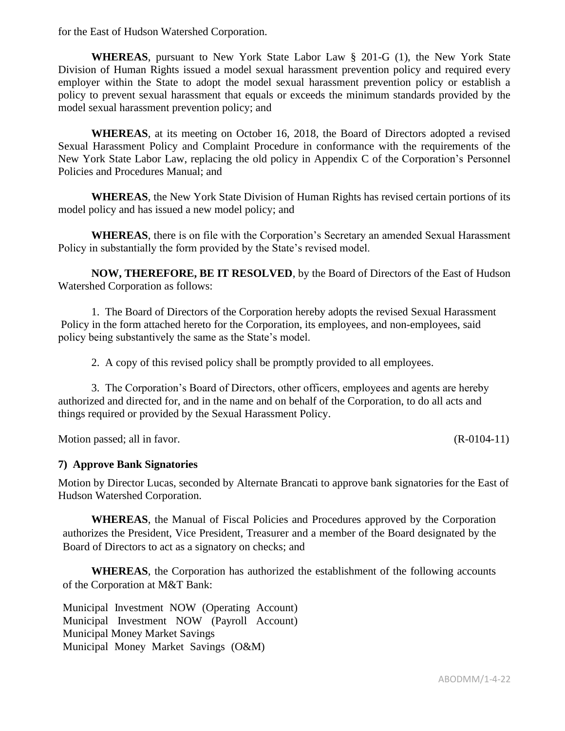for the East of Hudson Watershed Corporation.

**WHEREAS**, pursuant to New York State Labor Law § 201-G (1), the New York State Division of Human Rights issued a model sexual harassment prevention policy and required every employer within the State to adopt the model sexual harassment prevention policy or establish a policy to prevent sexual harassment that equals or exceeds the minimum standards provided by the model sexual harassment prevention policy; and

**WHEREAS**, at its meeting on October 16, 2018, the Board of Directors adopted a revised Sexual Harassment Policy and Complaint Procedure in conformance with the requirements of the New York State Labor Law, replacing the old policy in Appendix C of the Corporation's Personnel Policies and Procedures Manual; and

**WHEREAS**, the New York State Division of Human Rights has revised certain portions of its model policy and has issued a new model policy; and

**WHEREAS**, there is on file with the Corporation's Secretary an amended Sexual Harassment Policy in substantially the form provided by the State's revised model.

**NOW, THEREFORE, BE IT RESOLVED**, by the Board of Directors of the East of Hudson Watershed Corporation as follows:

1. The Board of Directors of the Corporation hereby adopts the revised Sexual Harassment Policy in the form attached hereto for the Corporation, its employees, and non-employees, said policy being substantively the same as the State's model.

2. A copy of this revised policy shall be promptly provided to all employees.

3. The Corporation's Board of Directors, other officers, employees and agents are hereby authorized and directed for, and in the name and on behalf of the Corporation, to do all acts and things required or provided by the Sexual Harassment Policy.

Motion passed; all in favor. (R-0104-11)

### **7) Approve Bank Signatories**

Motion by Director Lucas, seconded by Alternate Brancati to approve bank signatories for the East of Hudson Watershed Corporation.

**WHEREAS**, the Manual of Fiscal Policies and Procedures approved by the Corporation authorizes the President, Vice President, Treasurer and a member of the Board designated by the Board of Directors to act as a signatory on checks; and

**WHEREAS**, the Corporation has authorized the establishment of the following accounts of the Corporation at M&T Bank:

Municipal Investment NOW (Operating Account) Municipal Investment NOW (Payroll Account) Municipal Money Market Savings Municipal Money Market Savings (O&M)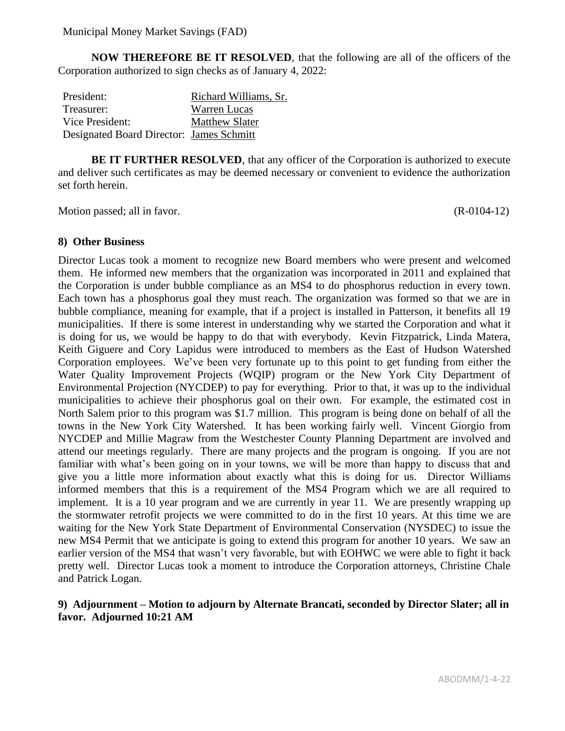**NOW THEREFORE BE IT RESOLVED**, that the following are all of the officers of the Corporation authorized to sign checks as of January 4, 2022:

| President:                               | Richard Williams, Sr. |
|------------------------------------------|-----------------------|
| Treasurer:                               | <b>Warren Lucas</b>   |
| Vice President:                          | <b>Matthew Slater</b> |
| Designated Board Director: James Schmitt |                       |

**BE IT FURTHER RESOLVED**, that any officer of the Corporation is authorized to execute and deliver such certificates as may be deemed necessary or convenient to evidence the authorization set forth herein.

Motion passed; all in favor. (R-0104-12)

# **8) Other Business**

Director Lucas took a moment to recognize new Board members who were present and welcomed them. He informed new members that the organization was incorporated in 2011 and explained that the Corporation is under bubble compliance as an MS4 to do phosphorus reduction in every town. Each town has a phosphorus goal they must reach. The organization was formed so that we are in bubble compliance, meaning for example, that if a project is installed in Patterson, it benefits all 19 municipalities. If there is some interest in understanding why we started the Corporation and what it is doing for us, we would be happy to do that with everybody. Kevin Fitzpatrick, Linda Matera, Keith Giguere and Cory Lapidus were introduced to members as the East of Hudson Watershed Corporation employees. We've been very fortunate up to this point to get funding from either the Water Quality Improvement Projects (WQIP) program or the New York City Department of Environmental Projection (NYCDEP) to pay for everything. Prior to that, it was up to the individual municipalities to achieve their phosphorus goal on their own. For example, the estimated cost in North Salem prior to this program was \$1.7 million. This program is being done on behalf of all the towns in the New York City Watershed. It has been working fairly well. Vincent Giorgio from NYCDEP and Millie Magraw from the Westchester County Planning Department are involved and attend our meetings regularly. There are many projects and the program is ongoing. If you are not familiar with what's been going on in your towns, we will be more than happy to discuss that and give you a little more information about exactly what this is doing for us. Director Williams informed members that this is a requirement of the MS4 Program which we are all required to implement. It is a 10 year program and we are currently in year 11. We are presently wrapping up the stormwater retrofit projects we were committed to do in the first 10 years. At this time we are waiting for the New York State Department of Environmental Conservation (NYSDEC) to issue the new MS4 Permit that we anticipate is going to extend this program for another 10 years. We saw an earlier version of the MS4 that wasn't very favorable, but with EOHWC we were able to fight it back pretty well. Director Lucas took a moment to introduce the Corporation attorneys, Christine Chale and Patrick Logan.

# **9) Adjournment – Motion to adjourn by Alternate Brancati, seconded by Director Slater; all in favor. Adjourned 10:21 AM**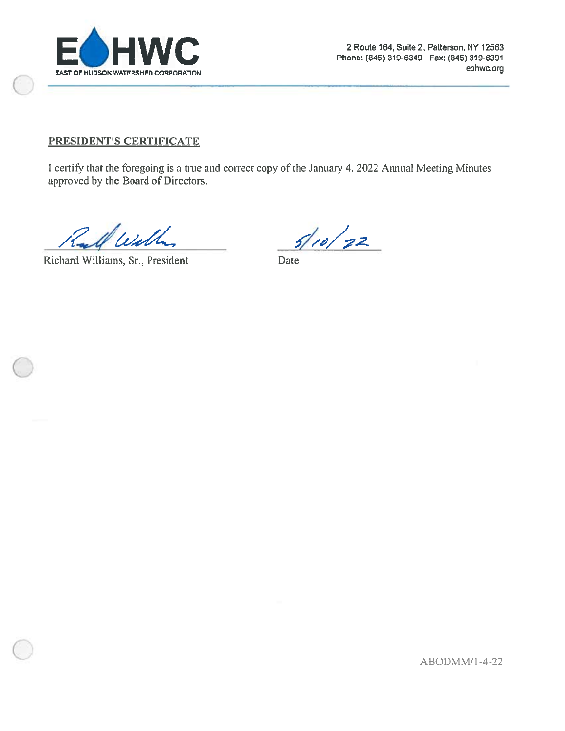

## PRESIDENT'S CERTIFICATE

I certify that the foregoing is a true and correct copy of the January 4, 2022 Annual Meeting Minutes approved by the Board of Directors.

Richard Williams, Sr., President

 $5/10/22$ 

Date